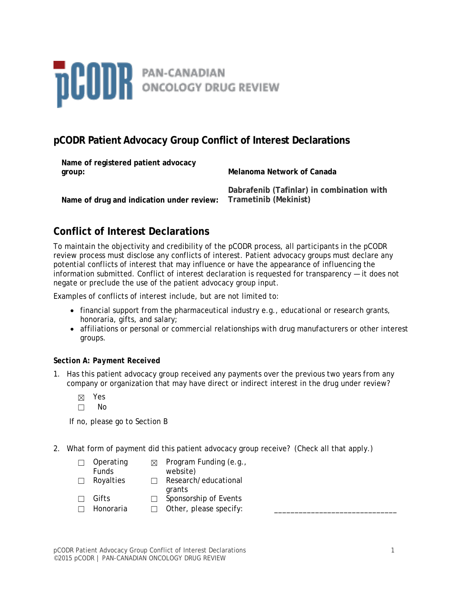

## **pCODR Patient Advocacy Group Conflict of Interest Declarations**

| Name of registered patient advocacy<br>group:                   | Melanoma Network of Canada                |  |
|-----------------------------------------------------------------|-------------------------------------------|--|
| Name of drug and indication under review: Trametinib (Mekinist) | Dabrafenib (Tafinlar) in combination with |  |

# **Conflict of Interest Declarations**

To maintain the objectivity and credibility of the pCODR process, all participants in the pCODR review process must disclose any conflicts of interest. Patient advocacy groups must declare any potential conflicts of interest that may influence or have the appearance of influencing the information submitted. Conflict of interest declaration is requested for transparency — it does not negate or preclude the use of the patient advocacy group input.

Examples of conflicts of interest include, but are not limited to:

- financial support from the pharmaceutical industry e.g., educational or research grants, honoraria, gifts, and salary;
- affiliations or personal or commercial relationships with drug manufacturers or other interest groups.

## *Section A: Payment Received*

- 1. Has this patient advocacy group received any payments over the previous two years from any company or organization that may have direct or indirect interest in the drug under review?
	- ☒ Yes
	- ☐ No

If no, please go to Section B

2. What form of payment did this patient advocacy group receive? (Check all that apply.)

|        | Operating<br><b>Funds</b> | ⊠ | Program Funding (e.g.,<br>website) |
|--------|---------------------------|---|------------------------------------|
| $\Box$ | Royalties                 |   | Research/educational<br>grants     |
|        | Gifts                     |   | Sponsorship of Events              |
|        | Honoraria                 |   | Other, please specify:             |